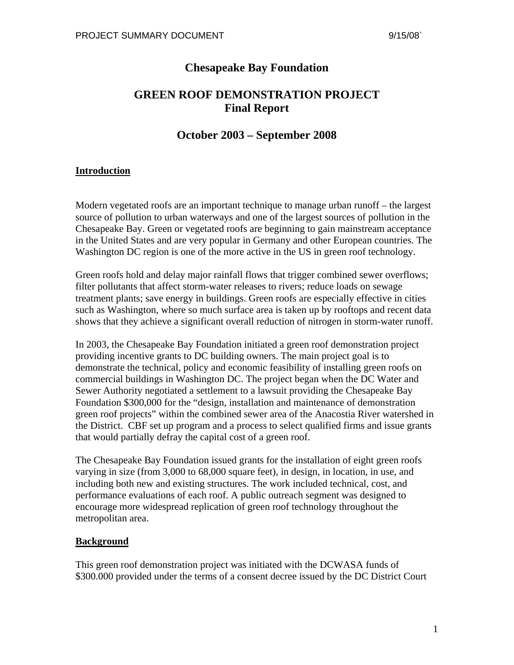## **Chesapeake Bay Foundation**

# **GREEN ROOF DEMONSTRATION PROJECT Final Report**

## **October 2003 – September 2008**

### **Introduction**

Modern vegetated roofs are an important technique to manage urban runoff – the largest source of pollution to urban waterways and one of the largest sources of pollution in the Chesapeake Bay. Green or vegetated roofs are beginning to gain mainstream acceptance in the United States and are very popular in Germany and other European countries. The Washington DC region is one of the more active in the US in green roof technology.

Green roofs hold and delay major rainfall flows that trigger combined sewer overflows; filter pollutants that affect storm-water releases to rivers; reduce loads on sewage treatment plants; save energy in buildings. Green roofs are especially effective in cities such as Washington, where so much surface area is taken up by rooftops and recent data shows that they achieve a significant overall reduction of nitrogen in storm-water runoff.

In 2003, the Chesapeake Bay Foundation initiated a green roof demonstration project providing incentive grants to DC building owners. The main project goal is to demonstrate the technical, policy and economic feasibility of installing green roofs on commercial buildings in Washington DC. The project began when the DC Water and Sewer Authority negotiated a settlement to a lawsuit providing the Chesapeake Bay Foundation \$300,000 for the "design, installation and maintenance of demonstration green roof projects" within the combined sewer area of the Anacostia River watershed in the District. CBF set up program and a process to select qualified firms and issue grants that would partially defray the capital cost of a green roof.

The Chesapeake Bay Foundation issued grants for the installation of eight green roofs varying in size (from 3,000 to 68,000 square feet), in design, in location, in use, and including both new and existing structures. The work included technical, cost, and performance evaluations of each roof. A public outreach segment was designed to encourage more widespread replication of green roof technology throughout the metropolitan area.

#### **Background**

This green roof demonstration project was initiated with the DCWASA funds of \$300.000 provided under the terms of a consent decree issued by the DC District Court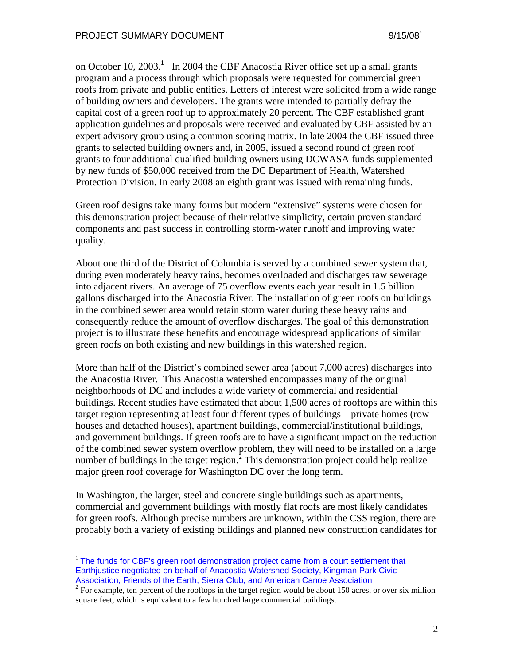on October 10, 2003.**<sup>1</sup>** In 2004 the CBF Anacostia River office set up a small grants program and a process through which proposals were requested for commercial green roofs from private and public entities. Letters of interest were solicited from a wide range of building owners and developers. The grants were intended to partially defray the capital cost of a green roof up to approximately 20 percent. The CBF established grant application guidelines and proposals were received and evaluated by CBF assisted by an expert advisory group using a common scoring matrix. In late 2004 the CBF issued three grants to selected building owners and, in 2005, issued a second round of green roof grants to four additional qualified building owners using DCWASA funds supplemented by new funds of \$50,000 received from the DC Department of Health, Watershed Protection Division. In early 2008 an eighth grant was issued with remaining funds.

Green roof designs take many forms but modern "extensive" systems were chosen for this demonstration project because of their relative simplicity, certain proven standard components and past success in controlling storm-water runoff and improving water quality.

About one third of the District of Columbia is served by a combined sewer system that, during even moderately heavy rains, becomes overloaded and discharges raw sewerage into adjacent rivers. An average of 75 overflow events each year result in 1.5 billion gallons discharged into the Anacostia River. The installation of green roofs on buildings in the combined sewer area would retain storm water during these heavy rains and consequently reduce the amount of overflow discharges. The goal of this demonstration project is to illustrate these benefits and encourage widespread applications of similar green roofs on both existing and new buildings in this watershed region.

More than half of the District's combined sewer area (about 7,000 acres) discharges into the Anacostia River. This Anacostia watershed encompasses many of the original neighborhoods of DC and includes a wide variety of commercial and residential buildings. Recent studies have estimated that about 1,500 acres of rooftops are within this target region representing at least four different types of buildings – private homes (row houses and detached houses), apartment buildings, commercial/institutional buildings, and government buildings. If green roofs are to have a significant impact on the reduction of the combined sewer system overflow problem, they will need to be installed on a large number of buildings in the target region.<sup>2</sup> This demonstration project could help realize major green roof coverage for Washington DC over the long term.

In Washington, the larger, steel and concrete single buildings such as apartments, commercial and government buildings with mostly flat roofs are most likely candidates for green roofs. Although precise numbers are unknown, within the CSS region, there are probably both a variety of existing buildings and planned new construction candidates for

 $\overline{a}$ 

<sup>&</sup>lt;sup>1</sup> The funds for CBF's green roof demonstration project came from a court settlement that Earthjustice negotiated on behalf of Anacostia Watershed Society, Kingman Park Civic Association, Friends of the Earth, Sierra Club, and American Canoe Association <sup>2</sup>

<sup>&</sup>lt;sup>2</sup> For example, ten percent of the rooftops in the target region would be about 150 acres, or over six million square feet, which is equivalent to a few hundred large commercial buildings.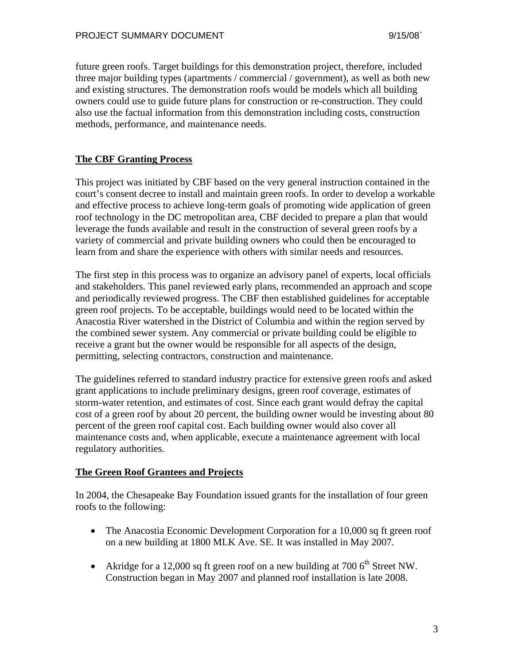future green roofs. Target buildings for this demonstration project, therefore, included three major building types (apartments / commercial / government), as well as both new and existing structures. The demonstration roofs would be models which all building owners could use to guide future plans for construction or re-construction. They could also use the factual information from this demonstration including costs, construction methods, performance, and maintenance needs.

## **The CBF Granting Process**

This project was initiated by CBF based on the very general instruction contained in the court's consent decree to install and maintain green roofs. In order to develop a workable and effective process to achieve long-term goals of promoting wide application of green roof technology in the DC metropolitan area, CBF decided to prepare a plan that would leverage the funds available and result in the construction of several green roofs by a variety of commercial and private building owners who could then be encouraged to learn from and share the experience with others with similar needs and resources.

The first step in this process was to organize an advisory panel of experts, local officials and stakeholders. This panel reviewed early plans, recommended an approach and scope and periodically reviewed progress. The CBF then established guidelines for acceptable green roof projects. To be acceptable, buildings would need to be located within the Anacostia River watershed in the District of Columbia and within the region served by the combined sewer system. Any commercial or private building could be eligible to receive a grant but the owner would be responsible for all aspects of the design, permitting, selecting contractors, construction and maintenance.

The guidelines referred to standard industry practice for extensive green roofs and asked grant applications to include preliminary designs, green roof coverage, estimates of storm-water retention, and estimates of cost. Since each grant would defray the capital cost of a green roof by about 20 percent, the building owner would be investing about 80 percent of the green roof capital cost. Each building owner would also cover all maintenance costs and, when applicable, execute a maintenance agreement with local regulatory authorities.

### **The Green Roof Grantees and Projects**

In 2004, the Chesapeake Bay Foundation issued grants for the installation of four green roofs to the following:

- The Anacostia Economic Development Corporation for a 10,000 sq ft green roof on a new building at 1800 MLK Ave. SE. It was installed in May 2007.
- Akridge for a 12,000 sq ft green roof on a new building at 700  $6<sup>th</sup>$  Street NW. Construction began in May 2007 and planned roof installation is late 2008.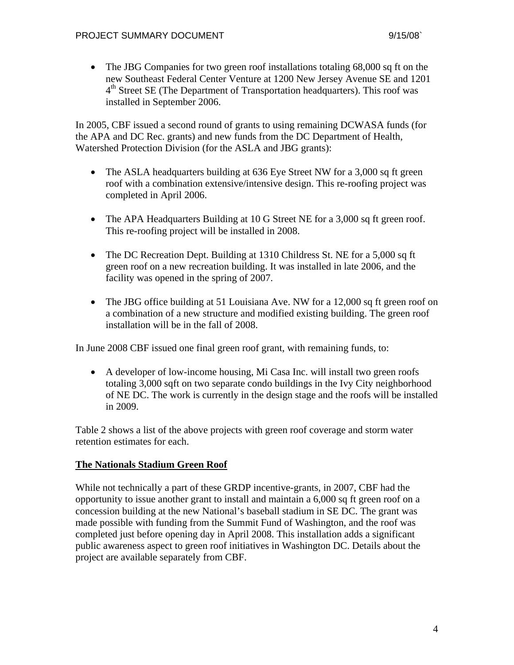• The JBG Companies for two green roof installations totaling 68,000 sq ft on the new Southeast Federal Center Venture at 1200 New Jersey Avenue SE and 1201 4<sup>th</sup> Street SE (The Department of Transportation headquarters). This roof was installed in September 2006.

In 2005, CBF issued a second round of grants to using remaining DCWASA funds (for the APA and DC Rec. grants) and new funds from the DC Department of Health, Watershed Protection Division (for the ASLA and JBG grants):

- The ASLA headquarters building at 636 Eye Street NW for a 3,000 sq ft green roof with a combination extensive/intensive design. This re-roofing project was completed in April 2006.
- The APA Headquarters Building at 10 G Street NE for a 3,000 sq ft green roof. This re-roofing project will be installed in 2008.
- The DC Recreation Dept. Building at 1310 Childress St. NE for a 5,000 sq ft green roof on a new recreation building. It was installed in late 2006, and the facility was opened in the spring of 2007.
- The JBG office building at 51 Louisiana Ave. NW for a 12,000 sq ft green roof on a combination of a new structure and modified existing building. The green roof installation will be in the fall of 2008.

In June 2008 CBF issued one final green roof grant, with remaining funds, to:

• A developer of low-income housing, Mi Casa Inc. will install two green roofs totaling 3,000 sqft on two separate condo buildings in the Ivy City neighborhood of NE DC. The work is currently in the design stage and the roofs will be installed in 2009.

Table 2 shows a list of the above projects with green roof coverage and storm water retention estimates for each.

### **The Nationals Stadium Green Roof**

While not technically a part of these GRDP incentive-grants, in 2007, CBF had the opportunity to issue another grant to install and maintain a 6,000 sq ft green roof on a concession building at the new National's baseball stadium in SE DC. The grant was made possible with funding from the Summit Fund of Washington, and the roof was completed just before opening day in April 2008. This installation adds a significant public awareness aspect to green roof initiatives in Washington DC. Details about the project are available separately from CBF.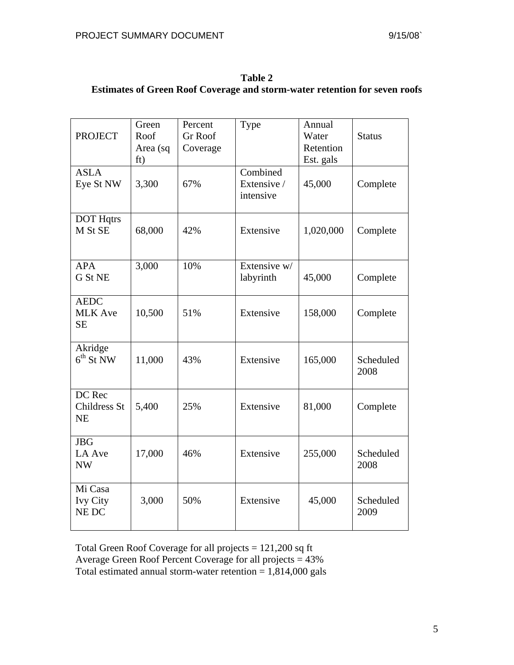| Table 2                                                                           |
|-----------------------------------------------------------------------------------|
| <b>Estimates of Green Roof Coverage and storm-water retention for seven roofs</b> |

| <b>PROJECT</b>                             | Green<br>Roof<br>Area (sq<br>ft) | Percent<br><b>Gr Roof</b><br>Coverage | Type                                 | Annual<br>Water<br>Retention<br>Est. gals | <b>Status</b>     |
|--------------------------------------------|----------------------------------|---------------------------------------|--------------------------------------|-------------------------------------------|-------------------|
| <b>ASLA</b><br>Eye St NW                   | 3,300                            | 67%                                   | Combined<br>Extensive /<br>intensive | 45,000                                    | Complete          |
| <b>DOT Hqtrs</b><br>M St SE                | 68,000                           | 42%                                   | Extensive                            | 1,020,000                                 | Complete          |
| <b>APA</b><br>G St NE                      | 3,000                            | 10%                                   | Extensive w/<br>labyrinth            | 45,000                                    | Complete          |
| <b>AEDC</b><br><b>MLK</b> Ave<br><b>SE</b> | 10,500                           | 51%                                   | Extensive                            | 158,000                                   | Complete          |
| Akridge<br>$6th$ St NW                     | 11,000                           | 43%                                   | Extensive                            | 165,000                                   | Scheduled<br>2008 |
| DC Rec<br>Childress St<br><b>NE</b>        | 5,400                            | 25%                                   | Extensive                            | 81,000                                    | Complete          |
| <b>JBG</b><br>LA Ave<br><b>NW</b>          | 17,000                           | 46%                                   | Extensive                            | 255,000                                   | Scheduled<br>2008 |
| Mi Casa<br><b>Ivy City</b><br>NE DC        | 3,000                            | 50%                                   | Extensive                            | 45,000                                    | Scheduled<br>2009 |

Total Green Roof Coverage for all projects = 121,200 sq ft Average Green Roof Percent Coverage for all projects = 43% Total estimated annual storm-water retention  $= 1,814,000$  gals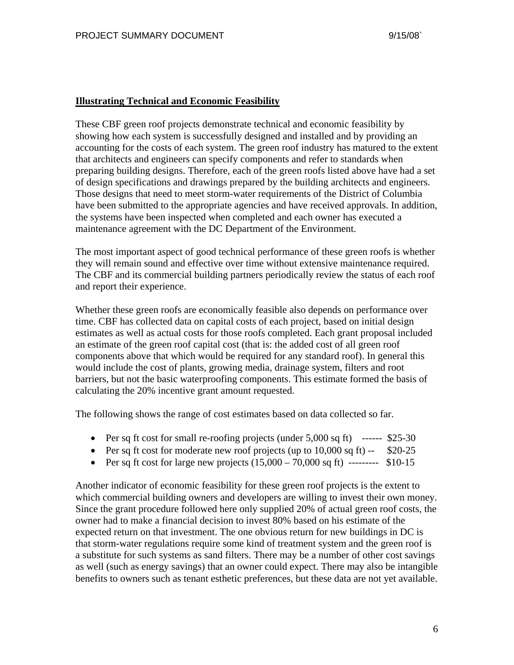#### **Illustrating Technical and Economic Feasibility**

These CBF green roof projects demonstrate technical and economic feasibility by showing how each system is successfully designed and installed and by providing an accounting for the costs of each system. The green roof industry has matured to the extent that architects and engineers can specify components and refer to standards when preparing building designs. Therefore, each of the green roofs listed above have had a set of design specifications and drawings prepared by the building architects and engineers. Those designs that need to meet storm-water requirements of the District of Columbia have been submitted to the appropriate agencies and have received approvals. In addition, the systems have been inspected when completed and each owner has executed a maintenance agreement with the DC Department of the Environment.

The most important aspect of good technical performance of these green roofs is whether they will remain sound and effective over time without extensive maintenance required. The CBF and its commercial building partners periodically review the status of each roof and report their experience.

Whether these green roofs are economically feasible also depends on performance over time. CBF has collected data on capital costs of each project, based on initial design estimates as well as actual costs for those roofs completed. Each grant proposal included an estimate of the green roof capital cost (that is: the added cost of all green roof components above that which would be required for any standard roof). In general this would include the cost of plants, growing media, drainage system, filters and root barriers, but not the basic waterproofing components. This estimate formed the basis of calculating the 20% incentive grant amount requested.

The following shows the range of cost estimates based on data collected so far.

- Per sq ft cost for small re-roofing projects (under 5,000 sq ft) ------ \$25-30
- Per sq ft cost for moderate new roof projects (up to  $10,000$  sq ft)  $-$  \$20-25
- Per sq ft cost for large new projects  $(15,000 70,000 \text{ sq ft})$  --------- \$10-15

Another indicator of economic feasibility for these green roof projects is the extent to which commercial building owners and developers are willing to invest their own money. Since the grant procedure followed here only supplied 20% of actual green roof costs, the owner had to make a financial decision to invest 80% based on his estimate of the expected return on that investment. The one obvious return for new buildings in DC is that storm-water regulations require some kind of treatment system and the green roof is a substitute for such systems as sand filters. There may be a number of other cost savings as well (such as energy savings) that an owner could expect. There may also be intangible benefits to owners such as tenant esthetic preferences, but these data are not yet available.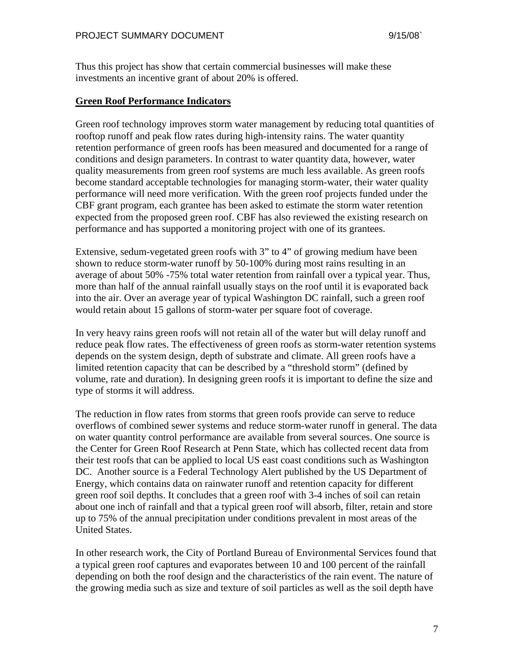Thus this project has show that certain commercial businesses will make these investments an incentive grant of about 20% is offered.

#### **Green Roof Performance Indicators**

Green roof technology improves storm water management by reducing total quantities of rooftop runoff and peak flow rates during high-intensity rains. The water quantity retention performance of green roofs has been measured and documented for a range of conditions and design parameters. In contrast to water quantity data, however, water quality measurements from green roof systems are much less available. As green roofs become standard acceptable technologies for managing storm-water, their water quality performance will need more verification. With the green roof projects funded under the CBF grant program, each grantee has been asked to estimate the storm water retention expected from the proposed green roof. CBF has also reviewed the existing research on performance and has supported a monitoring project with one of its grantees.

Extensive, sedum-vegetated green roofs with 3" to 4" of growing medium have been shown to reduce storm-water runoff by 50-100% during most rains resulting in an average of about 50% -75% total water retention from rainfall over a typical year. Thus, more than half of the annual rainfall usually stays on the roof until it is evaporated back into the air. Over an average year of typical Washington DC rainfall, such a green roof would retain about 15 gallons of storm-water per square foot of coverage.

In very heavy rains green roofs will not retain all of the water but will delay runoff and reduce peak flow rates. The effectiveness of green roofs as storm-water retention systems depends on the system design, depth of substrate and climate. All green roofs have a limited retention capacity that can be described by a "threshold storm" (defined by volume, rate and duration). In designing green roofs it is important to define the size and type of storms it will address.

The reduction in flow rates from storms that green roofs provide can serve to reduce overflows of combined sewer systems and reduce storm-water runoff in general. The data on water quantity control performance are available from several sources. One source is the Center for Green Roof Research at Penn State, which has collected recent data from their test roofs that can be applied to local US east coast conditions such as Washington DC. Another source is a Federal Technology Alert published by the US Department of Energy, which contains data on rainwater runoff and retention capacity for different green roof soil depths. It concludes that a green roof with 3-4 inches of soil can retain about one inch of rainfall and that a typical green roof will absorb, filter, retain and store up to 75% of the annual precipitation under conditions prevalent in most areas of the United States.

In other research work, the City of Portland Bureau of Environmental Services found that a typical green roof captures and evaporates between 10 and 100 percent of the rainfall depending on both the roof design and the characteristics of the rain event. The nature of the growing media such as size and texture of soil particles as well as the soil depth have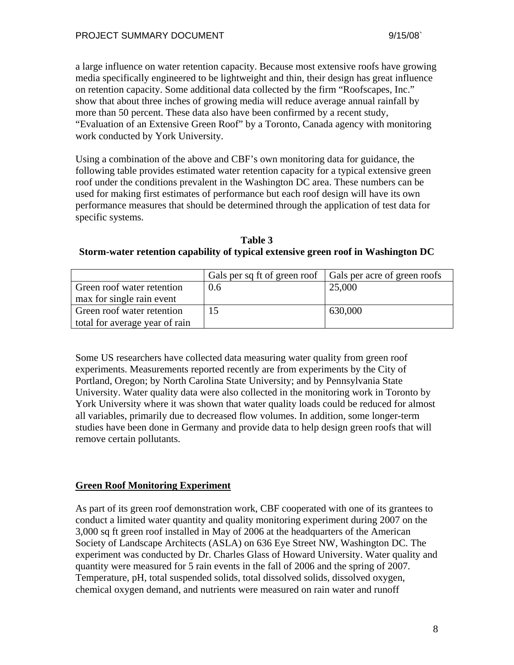a large influence on water retention capacity. Because most extensive roofs have growing media specifically engineered to be lightweight and thin, their design has great influence on retention capacity. Some additional data collected by the firm "Roofscapes, Inc." show that about three inches of growing media will reduce average annual rainfall by more than 50 percent. These data also have been confirmed by a recent study, "Evaluation of an Extensive Green Roof" by a Toronto, Canada agency with monitoring work conducted by York University.

Using a combination of the above and CBF's own monitoring data for guidance, the following table provides estimated water retention capacity for a typical extensive green roof under the conditions prevalent in the Washington DC area. These numbers can be used for making first estimates of performance but each roof design will have its own performance measures that should be determined through the application of test data for specific systems.

| Table 3                                                                           |
|-----------------------------------------------------------------------------------|
| Storm-water retention capability of typical extensive green roof in Washington DC |

|                                |     | Gals per sq ft of green roof   Gals per acre of green roofs |
|--------------------------------|-----|-------------------------------------------------------------|
| Green roof water retention     | 0.6 | 25,000                                                      |
| max for single rain event      |     |                                                             |
| Green roof water retention     | 15  | 630,000                                                     |
| total for average year of rain |     |                                                             |

Some US researchers have collected data measuring water quality from green roof experiments. Measurements reported recently are from experiments by the City of Portland, Oregon; by North Carolina State University; and by Pennsylvania State University. Water quality data were also collected in the monitoring work in Toronto by York University where it was shown that water quality loads could be reduced for almost all variables, primarily due to decreased flow volumes. In addition, some longer-term studies have been done in Germany and provide data to help design green roofs that will remove certain pollutants.

### **Green Roof Monitoring Experiment**

As part of its green roof demonstration work, CBF cooperated with one of its grantees to conduct a limited water quantity and quality monitoring experiment during 2007 on the 3,000 sq ft green roof installed in May of 2006 at the headquarters of the American Society of Landscape Architects (ASLA) on 636 Eye Street NW, Washington DC. The experiment was conducted by Dr. Charles Glass of Howard University. Water quality and quantity were measured for 5 rain events in the fall of 2006 and the spring of 2007. Temperature, pH, total suspended solids, total dissolved solids, dissolved oxygen, chemical oxygen demand, and nutrients were measured on rain water and runoff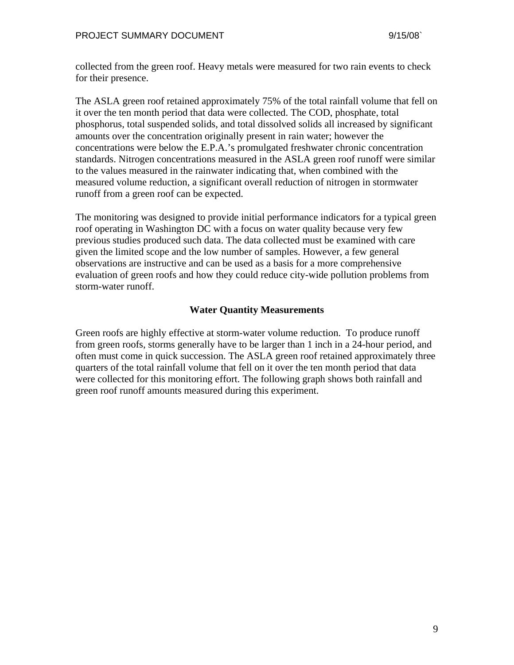collected from the green roof. Heavy metals were measured for two rain events to check for their presence.

The ASLA green roof retained approximately 75% of the total rainfall volume that fell on it over the ten month period that data were collected. The COD, phosphate, total phosphorus, total suspended solids, and total dissolved solids all increased by significant amounts over the concentration originally present in rain water; however the concentrations were below the E.P.A.'s promulgated freshwater chronic concentration standards. Nitrogen concentrations measured in the ASLA green roof runoff were similar to the values measured in the rainwater indicating that, when combined with the measured volume reduction, a significant overall reduction of nitrogen in stormwater runoff from a green roof can be expected.

The monitoring was designed to provide initial performance indicators for a typical green roof operating in Washington DC with a focus on water quality because very few previous studies produced such data. The data collected must be examined with care given the limited scope and the low number of samples. However, a few general observations are instructive and can be used as a basis for a more comprehensive evaluation of green roofs and how they could reduce city-wide pollution problems from storm-water runoff.

### **Water Quantity Measurements**

Green roofs are highly effective at storm-water volume reduction. To produce runoff from green roofs, storms generally have to be larger than 1 inch in a 24-hour period, and often must come in quick succession. The ASLA green roof retained approximately three quarters of the total rainfall volume that fell on it over the ten month period that data were collected for this monitoring effort. The following graph shows both rainfall and green roof runoff amounts measured during this experiment.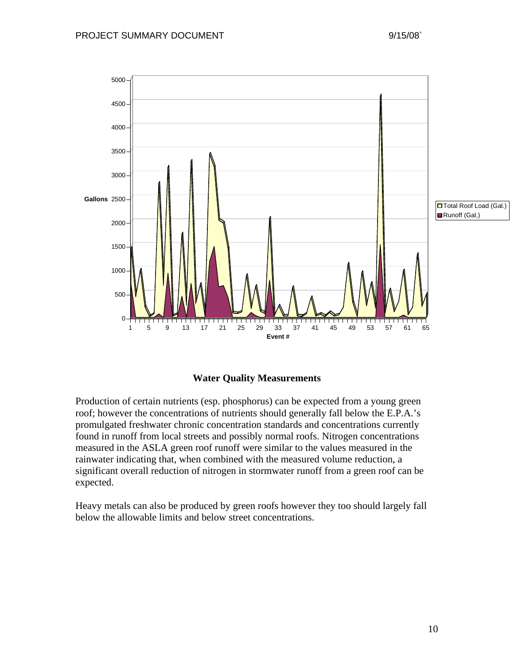

### **Water Quality Measurements**

Production of certain nutrients (esp. phosphorus) can be expected from a young green roof; however the concentrations of nutrients should generally fall below the E.P.A.'s promulgated freshwater chronic concentration standards and concentrations currently found in runoff from local streets and possibly normal roofs. Nitrogen concentrations measured in the ASLA green roof runoff were similar to the values measured in the rainwater indicating that, when combined with the measured volume reduction, a significant overall reduction of nitrogen in stormwater runoff from a green roof can be expected.

Heavy metals can also be produced by green roofs however they too should largely fall below the allowable limits and below street concentrations.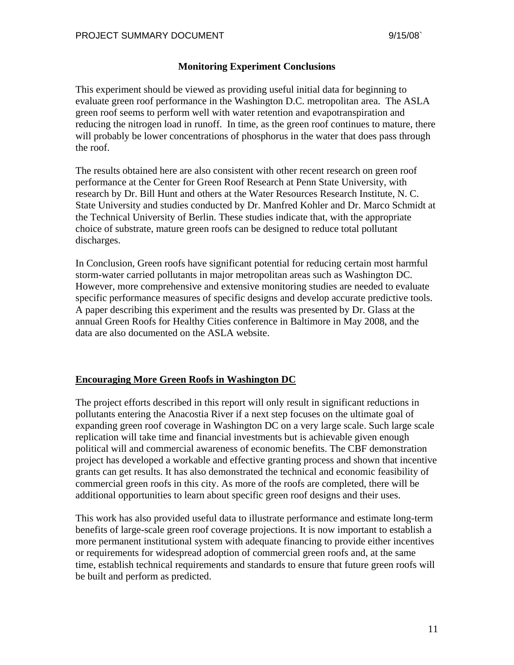#### **Monitoring Experiment Conclusions**

This experiment should be viewed as providing useful initial data for beginning to evaluate green roof performance in the Washington D.C. metropolitan area. The ASLA green roof seems to perform well with water retention and evapotranspiration and reducing the nitrogen load in runoff. In time, as the green roof continues to mature, there will probably be lower concentrations of phosphorus in the water that does pass through the roof.

The results obtained here are also consistent with other recent research on green roof performance at the Center for Green Roof Research at Penn State University, with research by Dr. Bill Hunt and others at the Water Resources Research Institute, N. C. State University and studies conducted by Dr. Manfred Kohler and Dr. Marco Schmidt at the Technical University of Berlin. These studies indicate that, with the appropriate choice of substrate, mature green roofs can be designed to reduce total pollutant discharges.

In Conclusion, Green roofs have significant potential for reducing certain most harmful storm-water carried pollutants in major metropolitan areas such as Washington DC. However, more comprehensive and extensive monitoring studies are needed to evaluate specific performance measures of specific designs and develop accurate predictive tools. A paper describing this experiment and the results was presented by Dr. Glass at the annual Green Roofs for Healthy Cities conference in Baltimore in May 2008, and the data are also documented on the ASLA website.

#### **Encouraging More Green Roofs in Washington DC**

The project efforts described in this report will only result in significant reductions in pollutants entering the Anacostia River if a next step focuses on the ultimate goal of expanding green roof coverage in Washington DC on a very large scale. Such large scale replication will take time and financial investments but is achievable given enough political will and commercial awareness of economic benefits. The CBF demonstration project has developed a workable and effective granting process and shown that incentive grants can get results. It has also demonstrated the technical and economic feasibility of commercial green roofs in this city. As more of the roofs are completed, there will be additional opportunities to learn about specific green roof designs and their uses.

This work has also provided useful data to illustrate performance and estimate long-term benefits of large-scale green roof coverage projections. It is now important to establish a more permanent institutional system with adequate financing to provide either incentives or requirements for widespread adoption of commercial green roofs and, at the same time, establish technical requirements and standards to ensure that future green roofs will be built and perform as predicted.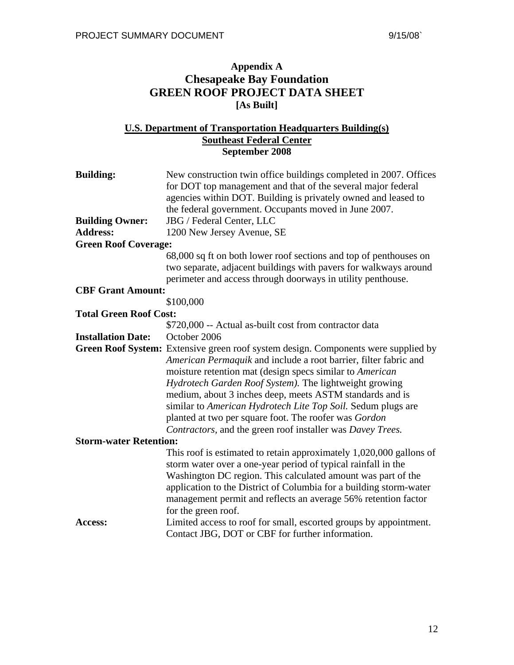## **Appendix A Chesapeake Bay Foundation GREEN ROOF PROJECT DATA SHEET [As Built]**

### **U.S. Department of Transportation Headquarters Building(s) Southeast Federal Center September 2008**

| <b>Building:</b>              | New construction twin office buildings completed in 2007. Offices<br>for DOT top management and that of the several major federal<br>agencies within DOT. Building is privately owned and leased to<br>the federal government. Occupants moved in June 2007.                                                                                                                                                                                                                                                                    |  |
|-------------------------------|---------------------------------------------------------------------------------------------------------------------------------------------------------------------------------------------------------------------------------------------------------------------------------------------------------------------------------------------------------------------------------------------------------------------------------------------------------------------------------------------------------------------------------|--|
| <b>Building Owner:</b>        | JBG / Federal Center, LLC                                                                                                                                                                                                                                                                                                                                                                                                                                                                                                       |  |
| <b>Address:</b>               | 1200 New Jersey Avenue, SE                                                                                                                                                                                                                                                                                                                                                                                                                                                                                                      |  |
| <b>Green Roof Coverage:</b>   |                                                                                                                                                                                                                                                                                                                                                                                                                                                                                                                                 |  |
|                               | 68,000 sq ft on both lower roof sections and top of penthouses on<br>two separate, adjacent buildings with pavers for walkways around<br>perimeter and access through doorways in utility penthouse.                                                                                                                                                                                                                                                                                                                            |  |
| <b>CBF Grant Amount:</b>      |                                                                                                                                                                                                                                                                                                                                                                                                                                                                                                                                 |  |
|                               | \$100,000                                                                                                                                                                                                                                                                                                                                                                                                                                                                                                                       |  |
| <b>Total Green Roof Cost:</b> |                                                                                                                                                                                                                                                                                                                                                                                                                                                                                                                                 |  |
|                               | \$720,000 -- Actual as-built cost from contractor data                                                                                                                                                                                                                                                                                                                                                                                                                                                                          |  |
| <b>Installation Date:</b>     | October 2006                                                                                                                                                                                                                                                                                                                                                                                                                                                                                                                    |  |
|                               | Green Roof System: Extensive green roof system design. Components were supplied by<br>American Permaquik and include a root barrier, filter fabric and<br>moisture retention mat (design specs similar to American<br>Hydrotech Garden Roof System). The lightweight growing<br>medium, about 3 inches deep, meets ASTM standards and is<br>similar to American Hydrotech Lite Top Soil. Sedum plugs are<br>planted at two per square foot. The roofer was Gordon<br>Contractors, and the green roof installer was Davey Trees. |  |
| <b>Storm-water Retention:</b> |                                                                                                                                                                                                                                                                                                                                                                                                                                                                                                                                 |  |
|                               | This roof is estimated to retain approximately 1,020,000 gallons of<br>storm water over a one-year period of typical rainfall in the<br>Washington DC region. This calculated amount was part of the<br>application to the District of Columbia for a building storm-water<br>management permit and reflects an average 56% retention factor<br>for the green roof.                                                                                                                                                             |  |
| Access:                       | Limited access to roof for small, escorted groups by appointment.<br>Contact JBG, DOT or CBF for further information.                                                                                                                                                                                                                                                                                                                                                                                                           |  |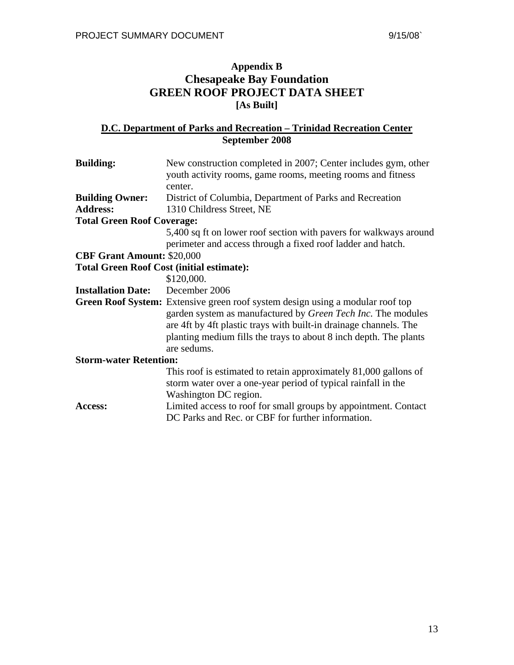# **Appendix B Chesapeake Bay Foundation GREEN ROOF PROJECT DATA SHEET [As Built]**

#### **D.C. Department of Parks and Recreation – Trinidad Recreation Center September 2008**

| <b>Building:</b>                                 | New construction completed in 2007; Center includes gym, other<br>youth activity rooms, game rooms, meeting rooms and fitness                                                                                                                                                                                  |
|--------------------------------------------------|----------------------------------------------------------------------------------------------------------------------------------------------------------------------------------------------------------------------------------------------------------------------------------------------------------------|
|                                                  | center.                                                                                                                                                                                                                                                                                                        |
| <b>Building Owner:</b>                           | District of Columbia, Department of Parks and Recreation                                                                                                                                                                                                                                                       |
| <b>Address:</b>                                  | 1310 Childress Street, NE                                                                                                                                                                                                                                                                                      |
| <b>Total Green Roof Coverage:</b>                |                                                                                                                                                                                                                                                                                                                |
|                                                  | 5,400 sq ft on lower roof section with pavers for walkways around<br>perimeter and access through a fixed roof ladder and hatch.                                                                                                                                                                               |
| <b>CBF Grant Amount: \$20,000</b>                |                                                                                                                                                                                                                                                                                                                |
| <b>Total Green Roof Cost (initial estimate):</b> |                                                                                                                                                                                                                                                                                                                |
|                                                  | \$120,000.                                                                                                                                                                                                                                                                                                     |
| <b>Installation Date:</b> December 2006          |                                                                                                                                                                                                                                                                                                                |
|                                                  | <b>Green Roof System:</b> Extensive green roof system design using a modular roof top<br>garden system as manufactured by Green Tech Inc. The modules<br>are 4ft by 4ft plastic trays with built-in drainage channels. The<br>planting medium fills the trays to about 8 inch depth. The plants<br>are sedums. |
| <b>Storm-water Retention:</b>                    |                                                                                                                                                                                                                                                                                                                |
|                                                  | This roof is estimated to retain approximately 81,000 gallons of<br>storm water over a one-year period of typical rainfall in the<br>Washington DC region.                                                                                                                                                     |
| Access:                                          | Limited access to roof for small groups by appointment. Contact<br>DC Parks and Rec. or CBF for further information.                                                                                                                                                                                           |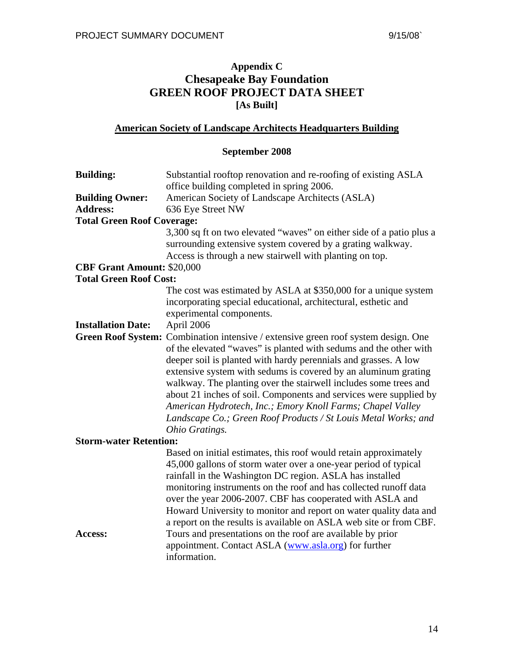# **Appendix C Chesapeake Bay Foundation GREEN ROOF PROJECT DATA SHEET [As Built]**

## **American Society of Landscape Architects Headquarters Building**

## **September 2008**

| <b>Building:</b>                  | Substantial rooftop renovation and re-roofing of existing ASLA<br>office building completed in spring 2006.                                                                                                                                                                                                                                                                                                                                                                                                                                                                             |
|-----------------------------------|-----------------------------------------------------------------------------------------------------------------------------------------------------------------------------------------------------------------------------------------------------------------------------------------------------------------------------------------------------------------------------------------------------------------------------------------------------------------------------------------------------------------------------------------------------------------------------------------|
| <b>Building Owner:</b>            | American Society of Landscape Architects (ASLA)                                                                                                                                                                                                                                                                                                                                                                                                                                                                                                                                         |
| <b>Address:</b>                   | 636 Eye Street NW                                                                                                                                                                                                                                                                                                                                                                                                                                                                                                                                                                       |
| <b>Total Green Roof Coverage:</b> |                                                                                                                                                                                                                                                                                                                                                                                                                                                                                                                                                                                         |
|                                   | 3,300 sq ft on two elevated "waves" on either side of a patio plus a<br>surrounding extensive system covered by a grating walkway.<br>Access is through a new stairwell with planting on top.                                                                                                                                                                                                                                                                                                                                                                                           |
| <b>CBF Grant Amount: \$20,000</b> |                                                                                                                                                                                                                                                                                                                                                                                                                                                                                                                                                                                         |
| <b>Total Green Roof Cost:</b>     |                                                                                                                                                                                                                                                                                                                                                                                                                                                                                                                                                                                         |
|                                   | The cost was estimated by ASLA at \$350,000 for a unique system<br>incorporating special educational, architectural, esthetic and<br>experimental components.                                                                                                                                                                                                                                                                                                                                                                                                                           |
| <b>Installation Date:</b>         | April 2006                                                                                                                                                                                                                                                                                                                                                                                                                                                                                                                                                                              |
|                                   | Green Roof System: Combination intensive / extensive green roof system design. One<br>of the elevated "waves" is planted with sedums and the other with<br>deeper soil is planted with hardy perennials and grasses. A low<br>extensive system with sedums is covered by an aluminum grating<br>walkway. The planting over the stairwell includes some trees and<br>about 21 inches of soil. Components and services were supplied by<br>American Hydrotech, Inc.; Emory Knoll Farms; Chapel Valley<br>Landscape Co.; Green Roof Products / St Louis Metal Works; and<br>Ohio Gratings. |
| <b>Storm-water Retention:</b>     |                                                                                                                                                                                                                                                                                                                                                                                                                                                                                                                                                                                         |
|                                   | Based on initial estimates, this roof would retain approximately<br>45,000 gallons of storm water over a one-year period of typical<br>rainfall in the Washington DC region. ASLA has installed<br>monitoring instruments on the roof and has collected runoff data<br>over the year 2006-2007. CBF has cooperated with ASLA and<br>Howard University to monitor and report on water quality data and<br>a report on the results is available on ASLA web site or from CBF.                                                                                                             |
| Access:                           | Tours and presentations on the roof are available by prior<br>appointment. Contact ASLA (www.asla.org) for further<br>information.                                                                                                                                                                                                                                                                                                                                                                                                                                                      |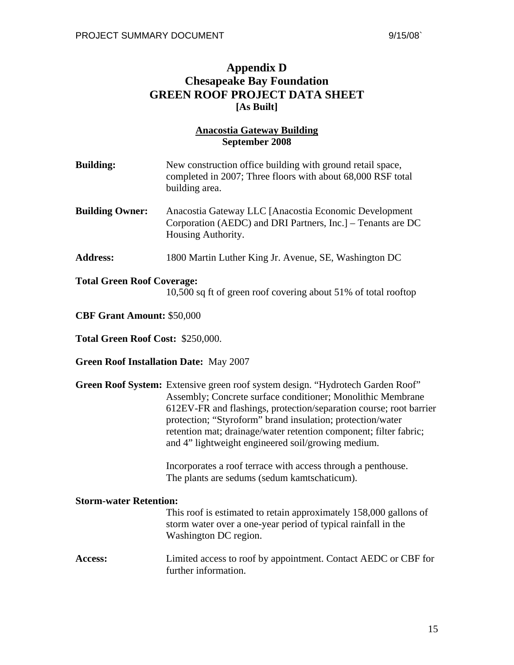# **Appendix D Chesapeake Bay Foundation GREEN ROOF PROJECT DATA SHEET [As Built]**

### **Anacostia Gateway Building September 2008**

| <b>Building:</b>                              | New construction office building with ground retail space,<br>completed in 2007; Three floors with about 68,000 RSF total<br>building area.                                                                                                                                                                                                                                                                  |
|-----------------------------------------------|--------------------------------------------------------------------------------------------------------------------------------------------------------------------------------------------------------------------------------------------------------------------------------------------------------------------------------------------------------------------------------------------------------------|
| <b>Building Owner:</b>                        | Anacostia Gateway LLC [Anacostia Economic Development<br>Corporation (AEDC) and DRI Partners, Inc.] – Tenants are DC<br>Housing Authority.                                                                                                                                                                                                                                                                   |
| <b>Address:</b>                               | 1800 Martin Luther King Jr. Avenue, SE, Washington DC                                                                                                                                                                                                                                                                                                                                                        |
| <b>Total Green Roof Coverage:</b>             | 10,500 sq ft of green roof covering about 51% of total rooftop                                                                                                                                                                                                                                                                                                                                               |
| <b>CBF Grant Amount: \$50,000</b>             |                                                                                                                                                                                                                                                                                                                                                                                                              |
| Total Green Roof Cost: \$250,000.             |                                                                                                                                                                                                                                                                                                                                                                                                              |
| <b>Green Roof Installation Date: May 2007</b> |                                                                                                                                                                                                                                                                                                                                                                                                              |
|                                               | Green Roof System: Extensive green roof system design. "Hydrotech Garden Roof"<br>Assembly; Concrete surface conditioner; Monolithic Membrane<br>612EV-FR and flashings, protection/separation course; root barrier<br>protection; "Styroform" brand insulation; protection/water<br>retention mat; drainage/water retention component; filter fabric;<br>and 4" lightweight engineered soil/growing medium. |
|                                               | Incorporates a roof terrace with access through a penthouse.<br>The plants are sedums (sedum kamtschaticum).                                                                                                                                                                                                                                                                                                 |
| <b>Storm-water Retention:</b>                 | This roof is estimated to retain approximately 158,000 gallons of<br>storm water over a one-year period of typical rainfall in the<br>Washington DC region.                                                                                                                                                                                                                                                  |
|                                               |                                                                                                                                                                                                                                                                                                                                                                                                              |

**Access:** Limited access to roof by appointment. Contact AEDC or CBF for further information.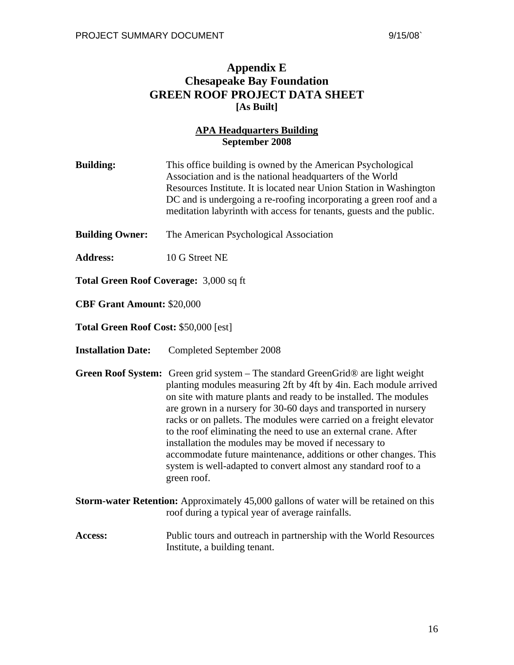## **Appendix E Chesapeake Bay Foundation GREEN ROOF PROJECT DATA SHEET [As Built]**

### **APA Headquarters Building September 2008**

| <b>Building:</b>                              | This office building is owned by the American Psychological<br>Association and is the national headquarters of the World<br>Resources Institute. It is located near Union Station in Washington<br>DC and is undergoing a re-roofing incorporating a green roof and a<br>meditation labyrinth with access for tenants, guests and the public. |  |
|-----------------------------------------------|-----------------------------------------------------------------------------------------------------------------------------------------------------------------------------------------------------------------------------------------------------------------------------------------------------------------------------------------------|--|
| <b>Building Owner:</b>                        | The American Psychological Association                                                                                                                                                                                                                                                                                                        |  |
| <b>Address:</b>                               | 10 G Street NE                                                                                                                                                                                                                                                                                                                                |  |
| <b>Total Green Roof Coverage: 3,000 sq ft</b> |                                                                                                                                                                                                                                                                                                                                               |  |

**CBF Grant Amount:** \$20,000

**Total Green Roof Cost:** \$50,000 [est]

**Installation Date:** Completed September 2008

- **Green Roof System:** Green grid system The standard GreenGrid® are light weight planting modules measuring 2ft by 4ft by 4in. Each module arrived on site with mature plants and ready to be installed. The modules are grown in a nursery for 30-60 days and transported in nursery racks or on pallets. The modules were carried on a freight elevator to the roof eliminating the need to use an external crane. After installation the modules may be moved if necessary to accommodate future maintenance, additions or other changes. This system is well-adapted to convert almost any standard roof to a green roof.
- **Storm-water Retention:** Approximately 45,000 gallons of water will be retained on this roof during a typical year of average rainfalls.
- Access: Public tours and outreach in partnership with the World Resources Institute, a building tenant.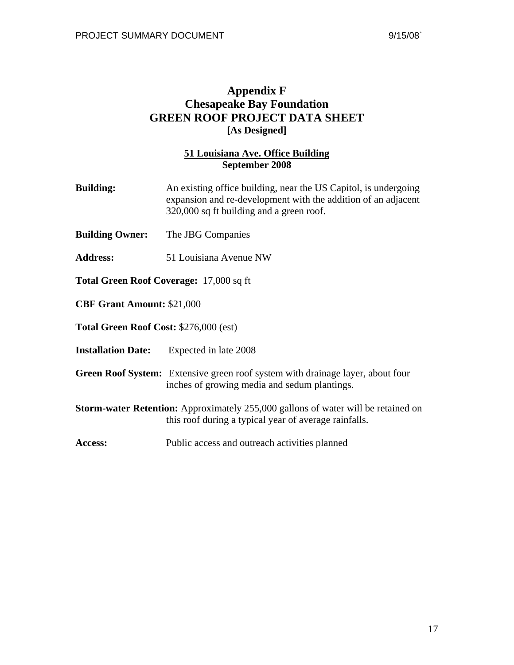## **Appendix F Chesapeake Bay Foundation GREEN ROOF PROJECT DATA SHEET [As Designed]**

#### **51 Louisiana Ave. Office Building September 2008**

- **Building:** An existing office building, near the US Capitol, is undergoing expansion and re-development with the addition of an adjacent 320,000 sq ft building and a green roof.
- **Building Owner:** The JBG Companies
- **Address:** 51 Louisiana Avenue NW
- **Total Green Roof Coverage:** 17,000 sq ft
- **CBF Grant Amount:** \$21,000

**Total Green Roof Cost:** \$276,000 (est)

- **Installation Date:** Expected in late 2008
- **Green Roof System:** Extensive green roof system with drainage layer, about four inches of growing media and sedum plantings.
- **Storm-water Retention:** Approximately 255,000 gallons of water will be retained on this roof during a typical year of average rainfalls.
- Access: Public access and outreach activities planned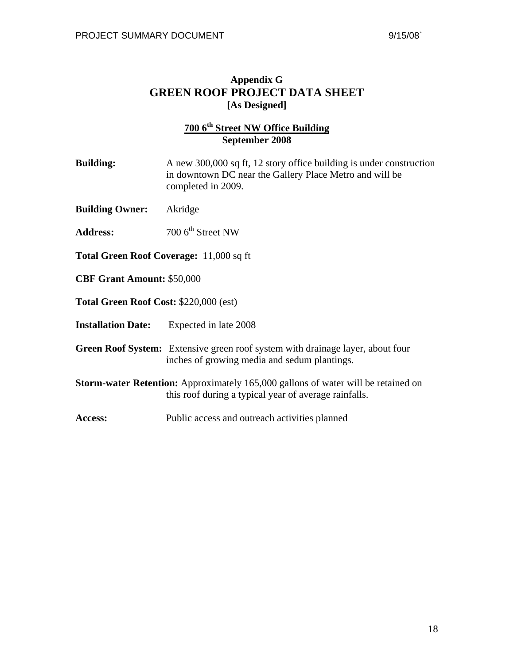## **Appendix G GREEN ROOF PROJECT DATA SHEET [As Designed]**

## **700 6th Street NW Office Building September 2008**

| <b>Building:</b>                               | A new 300,000 sq ft, 12 story office building is under construction<br>in downtown DC near the Gallery Place Metro and will be<br>completed in 2009. |  |
|------------------------------------------------|------------------------------------------------------------------------------------------------------------------------------------------------------|--|
| <b>Building Owner:</b>                         | Akridge                                                                                                                                              |  |
| <b>Address:</b>                                | $700\,6^{th}$ Street NW                                                                                                                              |  |
| <b>Total Green Roof Coverage: 11,000 sq ft</b> |                                                                                                                                                      |  |
| <b>CBF Grant Amount: \$50,000</b>              |                                                                                                                                                      |  |
| <b>Total Green Roof Cost: \$220,000 (est)</b>  |                                                                                                                                                      |  |
| <b>Installation Date:</b>                      | Expected in late 2008                                                                                                                                |  |
|                                                |                                                                                                                                                      |  |

**Green Roof System:** Extensive green roof system with drainage layer, about four inches of growing media and sedum plantings.

- **Storm-water Retention:** Approximately 165,000 gallons of water will be retained on this roof during a typical year of average rainfalls.
- Access: Public access and outreach activities planned